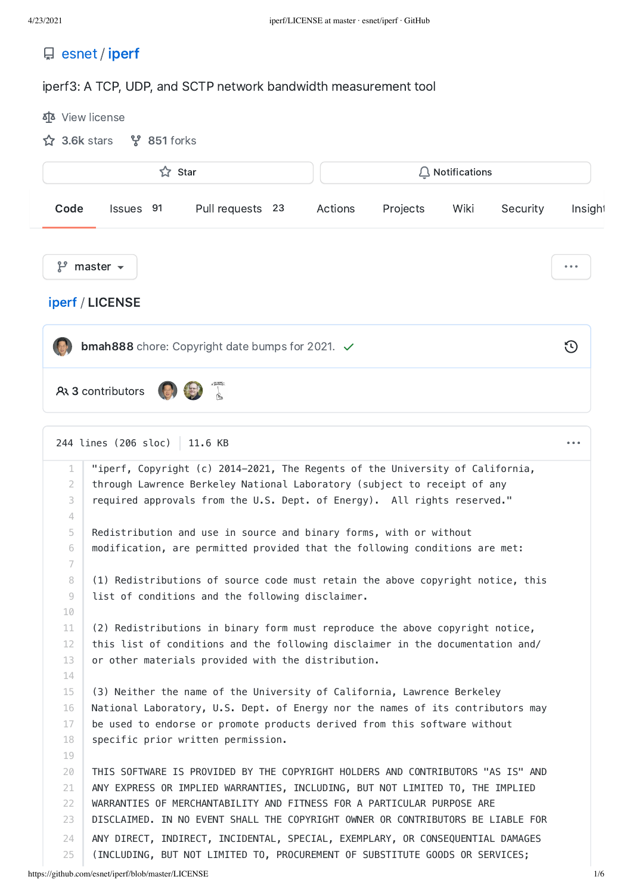| 日 esnet / iperf |  |
|-----------------|--|
|                 |  |

## iperf3: A TCP, UDP, and SCTP network bandwidth measurement tool

|                 | ☆ Star<br>$\Box$ Notifications                                                                                                                                 |                                              |
|-----------------|----------------------------------------------------------------------------------------------------------------------------------------------------------------|----------------------------------------------|
| Code            | Issues 91<br>Pull requests 23<br>Actions<br>Projects<br>Wiki<br>Security                                                                                       | Insigh <sup>®</sup>                          |
| ပိုး            | master $\sim$                                                                                                                                                  | $\begin{array}{ccccc} 0 & 0 & 0 \end{array}$ |
|                 | iperf / LICENSE                                                                                                                                                |                                              |
|                 | bmah888 chore: Copyright date bumps for 2021. ✓                                                                                                                | $\Theta$                                     |
|                 |                                                                                                                                                                |                                              |
|                 | <b>AR 3 contributors</b>                                                                                                                                       |                                              |
|                 |                                                                                                                                                                |                                              |
|                 |                                                                                                                                                                |                                              |
|                 | 244 lines (206 sloc)<br>11.6 KB                                                                                                                                | $\cdots$                                     |
| $\mathbf 1$     | "iperf, Copyright (c) 2014-2021, The Regents of the University of California,                                                                                  |                                              |
| 2               | through Lawrence Berkeley National Laboratory (subject to receipt of any                                                                                       |                                              |
| 3               | required approvals from the U.S. Dept. of Energy). All rights reserved."                                                                                       |                                              |
| 4               |                                                                                                                                                                |                                              |
| 5               | Redistribution and use in source and binary forms, with or without                                                                                             |                                              |
| 6               | modification, are permitted provided that the following conditions are met:                                                                                    |                                              |
| 7               |                                                                                                                                                                |                                              |
| 8               | (1) Redistributions of source code must retain the above copyright notice, this                                                                                |                                              |
| 9               | list of conditions and the following disclaimer.                                                                                                               |                                              |
| 10              |                                                                                                                                                                |                                              |
| 11              | (2) Redistributions in binary form must reproduce the above copyright notice,                                                                                  |                                              |
| 12 <sup>2</sup> | this list of conditions and the following disclaimer in the documentation and/                                                                                 |                                              |
| 13              | or other materials provided with the distribution.                                                                                                             |                                              |
| 14              |                                                                                                                                                                |                                              |
| 15              | (3) Neither the name of the University of California, Lawrence Berkeley                                                                                        |                                              |
| 16              | National Laboratory, U.S. Dept. of Energy nor the names of its contributors may                                                                                |                                              |
| 17              | be used to endorse or promote products derived from this software without                                                                                      |                                              |
| 18              | specific prior written permission.                                                                                                                             |                                              |
| 19              |                                                                                                                                                                |                                              |
| 20              | THIS SOFTWARE IS PROVIDED BY THE COPYRIGHT HOLDERS AND CONTRIBUTORS "AS IS" AND                                                                                |                                              |
| 21              | ANY EXPRESS OR IMPLIED WARRANTIES, INCLUDING, BUT NOT LIMITED TO, THE IMPLIED                                                                                  |                                              |
|                 |                                                                                                                                                                |                                              |
| 22              | WARRANTIES OF MERCHANTABILITY AND FITNESS FOR A PARTICULAR PURPOSE ARE                                                                                         |                                              |
| 23              | DISCLAIMED. IN NO EVENT SHALL THE COPYRIGHT OWNER OR CONTRIBUTORS BE LIABLE FOR                                                                                |                                              |
| 24              | ANY DIRECT, INDIRECT, INCIDENTAL, SPECIAL, EXEMPLARY, OR CONSEQUENTIAL DAMAGES<br>(INCLUDING, BUT NOT LIMITED TO, PROCUREMENT OF SUBSTITUTE GOODS OR SERVICES; |                                              |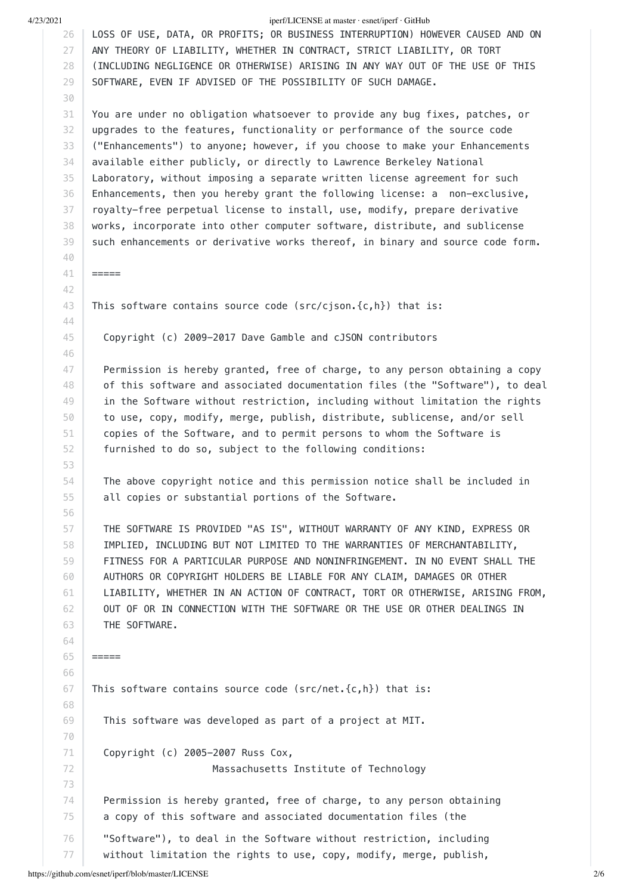4/23/2021 iperf/LICENSE at master · esnet/iperf · GitHub 26 27 28 29 30 31 32 33 34 35 36 37 38 39 40 41 42 43 44 45 46 47 48 49 50 51 52 53 54 55 56 57 58 59 60 61 62 63 64 65 66 67 68 LOSS OF USE, DATA, OR PROFITS; OR BUSINESS INTERRUPTION) HOWEVER CAUSED AND ON ANY THEORY OF LIABILITY, WHETHER IN CONTRACT, STRICT LIABILITY, OR TORT (INCLUDING NEGLIGENCE OR OTHERWISE) ARISING IN ANY WAY OUT OF THE USE OF THIS SOFTWARE, EVEN IF ADVISED OF THE POSSIBILITY OF SUCH DAMAGE. You are under no obligation whatsoever to provide any bug fixes, patches, or upgrades to the features, functionality or performance of the source code ("Enhancements") to anyone; however, if you choose to make your Enhancements available either publicly, or directly to Lawrence Berkeley National Laboratory, without imposing a separate written license agreement for such Enhancements, then you hereby grant the following license: a non-exclusive, royalty-free perpetual license to install, use, modify, prepare derivative works, incorporate into other computer software, distribute, and sublicense such enhancements or derivative works thereof, in binary and source code form. ===== This software contains source code (src/cjson.{c,h}) that is: Copyright (c) 2009-2017 Dave Gamble and cJSON contributors Permission is hereby granted, free of charge, to any person obtaining a copy of this software and associated documentation files (the "Software"), to deal in the Software without restriction, including without limitation the rights to use, copy, modify, merge, publish, distribute, sublicense, and/or sell copies of the Software, and to permit persons to whom the Software is furnished to do so, subject to the following conditions: The above copyright notice and this permission notice shall be included in all copies or substantial portions of the Software. THE SOFTWARE IS PROVIDED "AS IS", WITHOUT WARRANTY OF ANY KIND, EXPRESS OR IMPLIED, INCLUDING BUT NOT LIMITED TO THE WARRANTIES OF MERCHANTABILITY, FITNESS FOR A PARTICULAR PURPOSE AND NONINFRINGEMENT. IN NO EVENT SHALL THE AUTHORS OR COPYRIGHT HOLDERS BE LIABLE FOR ANY CLAIM, DAMAGES OR OTHER LIABILITY, WHETHER IN AN ACTION OF CONTRACT, TORT OR OTHERWISE, ARISING FROM, OUT OF OR IN CONNECTION WITH THE SOFTWARE OR THE USE OR OTHER DEALINGS IN THE SOFTWARE.  $=$ This software contains source code (src/net. $\{c,h\}$ ) that is:

This software was developed as part of a project at MIT.

Copyright (c) 2005-2007 Russ Cox,

Massachusetts Institute of Technology

74 75 Permission is hereby granted, free of charge, to any person obtaining a copy of this software and associated documentation files (the

76 77 "Software"), to deal in the Software without restriction, including without limitation the rights to use, copy, modify, merge, publish,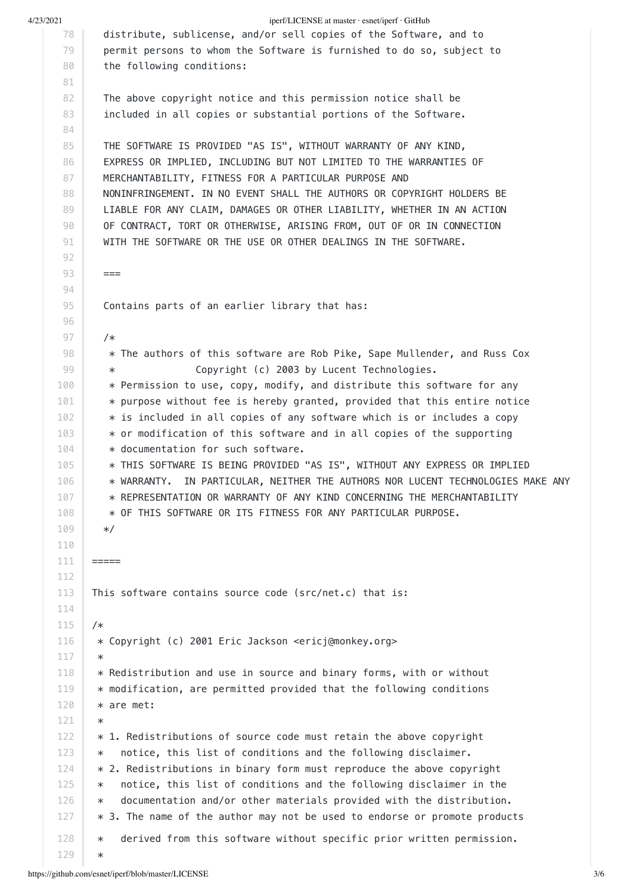4/23/2021 iperf/LICENSE at master · esnet/iperf · GitHub 78 79 80 81 82 83 84 85 86 87 88 89 90 91 92 93 94 95 96 97 98 99 100 101 102 103 104 105 106 107 108 109 110 111 112 113 114 115 116 117 118 119 120 121 122 123 124 125 126 127 128 129 distribute, sublicense, and/or sell copies of the Software, and to permit persons to whom the Software is furnished to do so, subject to the following conditions: The above copyright notice and this permission notice shall be included in all copies or substantial portions of the Software. THE SOFTWARE IS PROVIDED "AS IS", WITHOUT WARRANTY OF ANY KIND, EXPRESS OR IMPLIED, INCLUDING BUT NOT LIMITED TO THE WARRANTIES OF MERCHANTABILITY, FITNESS FOR A PARTICULAR PURPOSE AND NONINFRINGEMENT. IN NO EVENT SHALL THE AUTHORS OR COPYRIGHT HOLDERS BE LIABLE FOR ANY CLAIM, DAMAGES OR OTHER LIABILITY, WHETHER IN AN ACTION OF CONTRACT, TORT OR OTHERWISE, ARISING FROM, OUT OF OR IN CONNECTION WITH THE SOFTWARE OR THE USE OR OTHER DEALINGS IN THE SOFTWARE.  $==$  Contains parts of an earlier library that has: /\* \* The authors of this software are Rob Pike, Sape Mullender, and Russ Cox Copyright (c) 2003 by Lucent Technologies. \* Permission to use, copy, modify, and distribute this software for any  $*$  purpose without fee is hereby granted, provided that this entire notice \* is included in all copies of any software which is or includes a copy \* or modification of this software and in all copies of the supporting \* documentation for such software. \* THIS SOFTWARE IS BEING PROVIDED "AS IS", WITHOUT ANY EXPRESS OR IMPLIED \* WARRANTY. IN PARTICULAR, NEITHER THE AUTHORS NOR LUCENT TECHNOLOGIES MAKE ANY \* REPRESENTATION OR WARRANTY OF ANY KIND CONCERNING THE MERCHANTABILITY \* OF THIS SOFTWARE OR ITS FITNESS FOR ANY PARTICULAR PURPOSE. \*/ ===== This software contains source code (src/net.c) that is: /\* \* Copyright (c) 2001 Eric Jackson <ericj@monkey.org> \* \* Redistribution and use in source and binary forms, with or without \* modification, are permitted provided that the following conditions \* are met:  $\star$  $*$  1. Redistributions of source code must retain the above copyright \* notice, this list of conditions and the following disclaimer. \* 2. Redistributions in binary form must reproduce the above copyright \* notice, this list of conditions and the following disclaimer in the \* documentation and/or other materials provided with the distribution. \* 3. The name of the author may not be used to endorse or promote products \* derived from this software without specific prior written permission. \*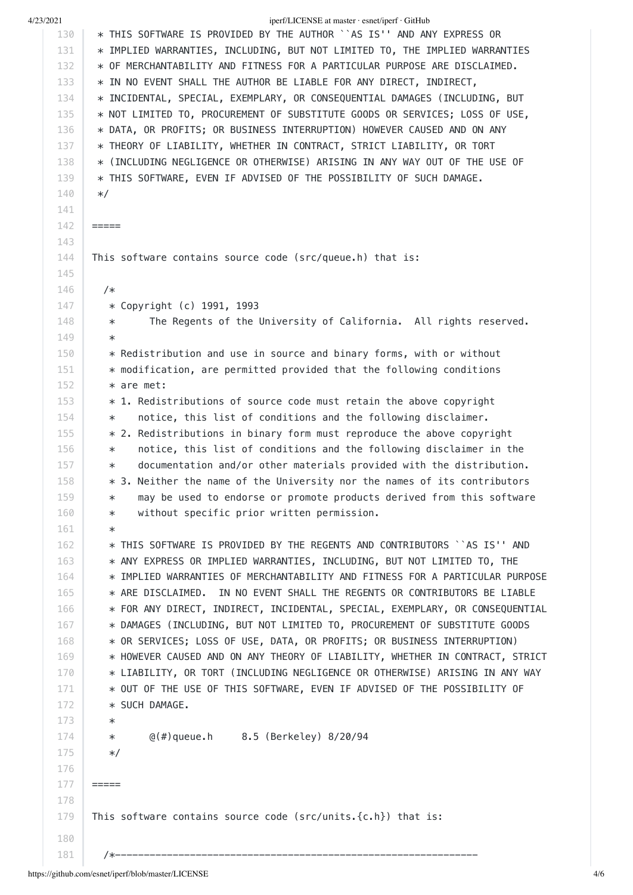130 131 132 133 134 135 136 137 138 139 140 141 142 143 144 145 146 147 148 149 150 151 152 153 154 155 156 157 158 159 160 161 162 163 164 165 166 167 168 169 170 171 172 173 174 175 176 177 178 179 180 \* THIS SOFTWARE IS PROVIDED BY THE AUTHOR ``AS IS'' AND ANY EXPRESS OR \* IMPLIED WARRANTIES, INCLUDING, BUT NOT LIMITED TO, THE IMPLIED WARRANTIES \* OF MERCHANTABILITY AND FITNESS FOR A PARTICULAR PURPOSE ARE DISCLAIMED. \* IN NO EVENT SHALL THE AUTHOR BE LIABLE FOR ANY DIRECT, INDIRECT, \* INCIDENTAL, SPECIAL, EXEMPLARY, OR CONSEQUENTIAL DAMAGES (INCLUDING, BUT \* NOT LIMITED TO, PROCUREMENT OF SUBSTITUTE GOODS OR SERVICES; LOSS OF USE, \* DATA, OR PROFITS; OR BUSINESS INTERRUPTION) HOWEVER CAUSED AND ON ANY \* THEORY OF LIABILITY, WHETHER IN CONTRACT, STRICT LIABILITY, OR TORT \* (INCLUDING NEGLIGENCE OR OTHERWISE) ARISING IN ANY WAY OUT OF THE USE OF \* THIS SOFTWARE, EVEN IF ADVISED OF THE POSSIBILITY OF SUCH DAMAGE.  $*$ / ===== This software contains source code (src/queue.h) that is: /\* \* Copyright (c) 1991, 1993 \* The Regents of the University of California. All rights reserved. \* \* Redistribution and use in source and binary forms, with or without \* modification, are permitted provided that the following conditions \* are met: \* 1. Redistributions of source code must retain the above copyright \* notice, this list of conditions and the following disclaimer. \* 2. Redistributions in binary form must reproduce the above copyright \* notice, this list of conditions and the following disclaimer in the \* documentation and/or other materials provided with the distribution. \* 3. Neither the name of the University nor the names of its contributors \* may be used to endorse or promote products derived from this software \* without specific prior written permission. \* \* THIS SOFTWARE IS PROVIDED BY THE REGENTS AND CONTRIBUTORS ``AS IS'' AND \* ANY EXPRESS OR IMPLIED WARRANTIES, INCLUDING, BUT NOT LIMITED TO, THE \* IMPLIED WARRANTIES OF MERCHANTABILITY AND FITNESS FOR A PARTICULAR PURPOSE \* ARE DISCLAIMED. IN NO EVENT SHALL THE REGENTS OR CONTRIBUTORS BE LIABLE \* FOR ANY DIRECT, INDIRECT, INCIDENTAL, SPECIAL, EXEMPLARY, OR CONSEQUENTIAL \* DAMAGES (INCLUDING, BUT NOT LIMITED TO, PROCUREMENT OF SUBSTITUTE GOODS \* OR SERVICES; LOSS OF USE, DATA, OR PROFITS; OR BUSINESS INTERRUPTION) \* HOWEVER CAUSED AND ON ANY THEORY OF LIABILITY, WHETHER IN CONTRACT, STRICT \* LIABILITY, OR TORT (INCLUDING NEGLIGENCE OR OTHERWISE) ARISING IN ANY WAY \* OUT OF THE USE OF THIS SOFTWARE, EVEN IF ADVISED OF THE POSSIBILITY OF \* SUCH DAMAGE. \* \* @(#)queue.h 8.5 (Berkeley) 8/20/94 \*/ ===== This software contains source code ( $src/units.$  { $c.h$ }) that is:

4/23/2021 iperf/LICENSE at master · esnet/iperf · GitHub

/\*---------------------------------------------------------------

181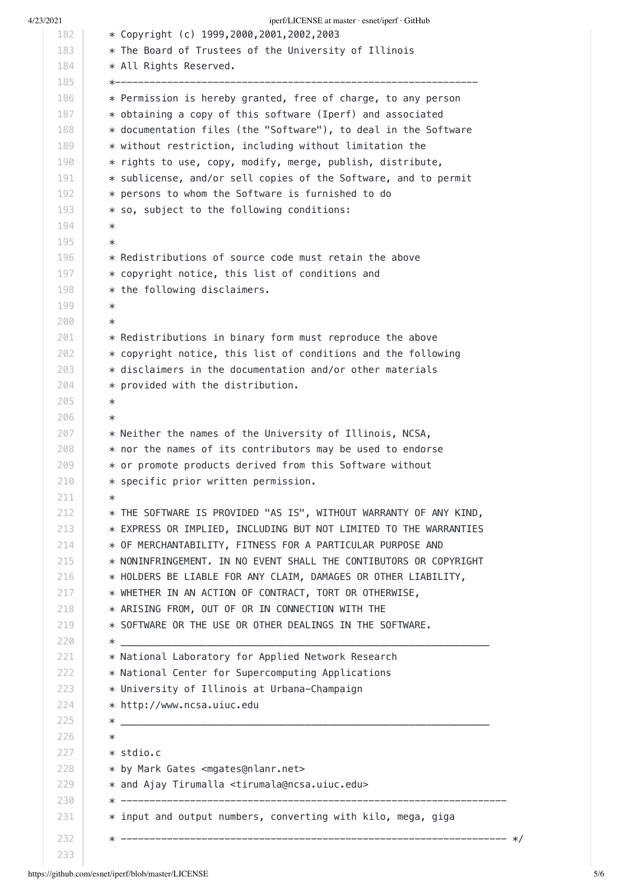4/23/2021 iperf/LICENSE at master · esnet/iperf · GitHub 182 183 184 185 186 187 188 189 190 191 192 193 194 195 196 197 198 199 200 201 202 203 204 205 206 207 208 209 210 211 212 213 214 215 216 217 218 219 220 221 222 223 224 225 226 227 228 229 230 231 232 233 \* Copyright (c) 1999,2000,2001,2002,2003 \* The Board of Trustees of the University of Illinois \* All Rights Reserved. \*--------------------------------------------------------------- \* Permission is hereby granted, free of charge, to any person \* obtaining a copy of this software (Iperf) and associated \* documentation files (the "Software"), to deal in the Software \* without restriction, including without limitation the \* rights to use, copy, modify, merge, publish, distribute, \* sublicense, and/or sell copies of the Software, and to permit \* persons to whom the Software is furnished to do \* so, subject to the following conditions: \* \* \* Redistributions of source code must retain the above \* copyright notice, this list of conditions and \* the following disclaimers. \* \* \* Redistributions in binary form must reproduce the above \* copyright notice, this list of conditions and the following  $*$  disclaimers in the documentation and/or other materials \* provided with the distribution. \* \* \* Neither the names of the University of Illinois, NCSA,  $*$  nor the names of its contributors may be used to endorse \* or promote products derived from this Software without \* specific prior written permission. \* \* THE SOFTWARE IS PROVIDED "AS IS", WITHOUT WARRANTY OF ANY KIND, \* EXPRESS OR IMPLIED, INCLUDING BUT NOT LIMITED TO THE WARRANTIES \* OF MERCHANTABILITY, FITNESS FOR A PARTICULAR PURPOSE AND \* NONINFRINGEMENT. IN NO EVENT SHALL THE CONTIBUTORS OR COPYRIGHT \* HOLDERS BE LIABLE FOR ANY CLAIM, DAMAGES OR OTHER LIABILITY, \* WHETHER IN AN ACTION OF CONTRACT, TORT OR OTHERWISE, \* ARISING FROM, OUT OF OR IN CONNECTION WITH THE \* SOFTWARE OR THE USE OR OTHER DEALINGS IN THE SOFTWARE. \* \_\_\_\_\_\_\_\_\_\_\_\_\_\_\_\_\_\_\_\_\_\_\_\_\_\_\_\_\_\_\_\_\_\_\_\_\_\_\_\_\_\_\_\_\_\_\_\_\_\_\_\_\_\_\_\_\_\_\_\_\_\_\_\_ \* National Laboratory for Applied Network Research \* National Center for Supercomputing Applications \* University of Illinois at Urbana-Champaign \* http://www.ncsa.uiuc.edu \* \_\_\_\_\_\_\_\_\_\_\_\_\_\_\_\_\_\_\_\_\_\_\_\_\_\_\_\_\_\_\_\_\_\_\_\_\_\_\_\_\_\_\_\_\_\_\_\_\_\_\_\_\_\_\_\_\_\_\_\_\_\_\_\_ \* \* stdio.c \* by Mark Gates <mgates@nlanr.net> \* and Ajay Tirumalla <tirumala@ncsa.uiuc.edu> \* -------------------------------------------------------------------  $*$  input and output numbers, converting with kilo, mega, giga \* ------------------------------------------------------------------- \*/